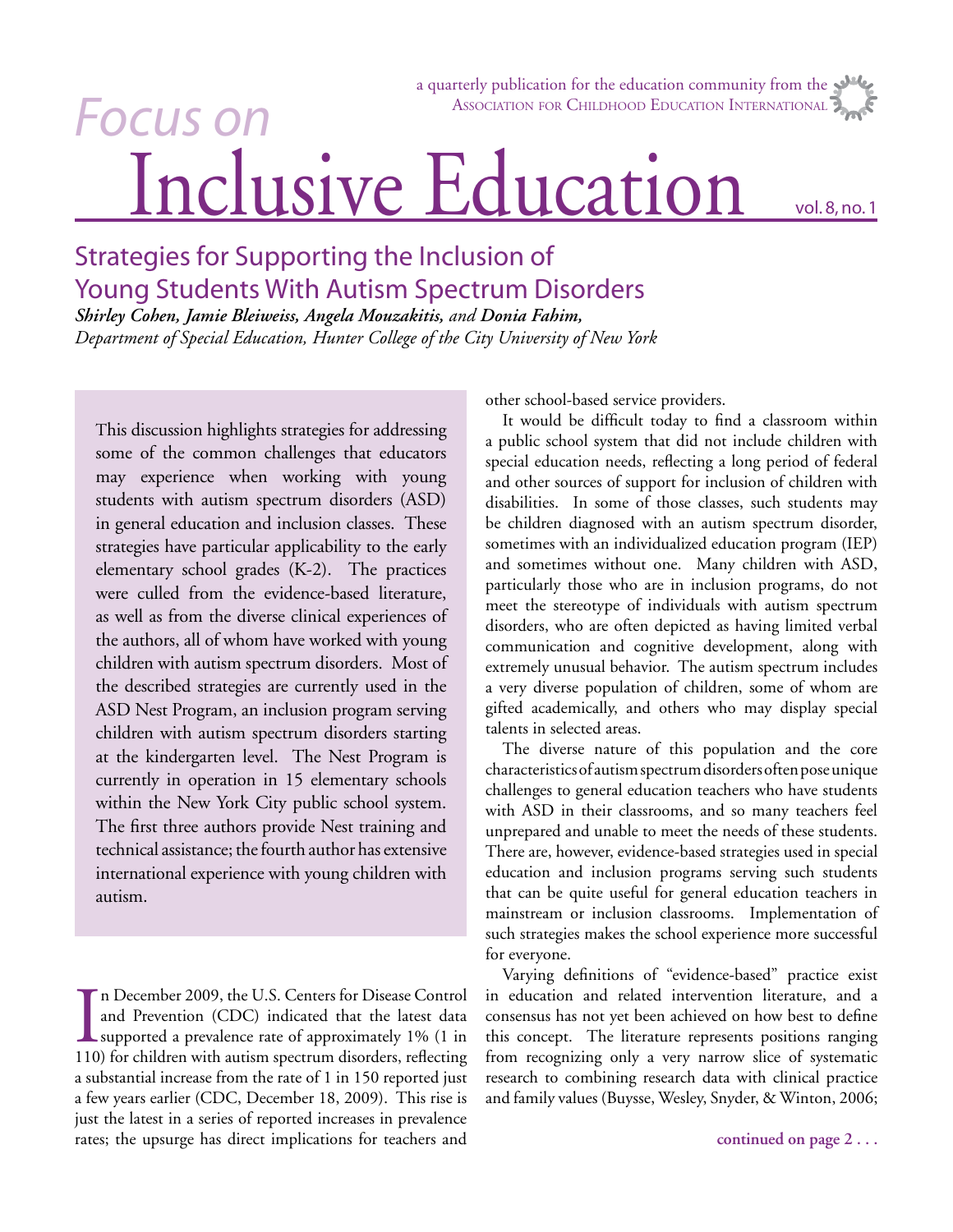# Inclusive Education a quarterly publication for the education community from the ASSOCIATION FOR CHILDHOOD EDUCATION INTERNATIONAL Focus on

# Strategies for Supporting the Inclusion of Young Students With Autism Spectrum Disorders

*Shirley Cohen, Jamie Bleiweiss, Angela Mouzakitis, and Donia Fahim, Department of Special Education, Hunter College of the City University of New York*

This discussion highlights strategies for addressing some of the common challenges that educators may experience when working with young students with autism spectrum disorders (ASD) in general education and inclusion classes. These strategies have particular applicability to the early elementary school grades (K-2). The practices were culled from the evidence-based literature, as well as from the diverse clinical experiences of the authors, all of whom have worked with young children with autism spectrum disorders. Most of the described strategies are currently used in the ASD Nest Program, an inclusion program serving children with autism spectrum disorders starting at the kindergarten level. The Nest Program is currently in operation in 15 elementary schools within the New York City public school system. The first three authors provide Nest training and technical assistance; the fourth author has extensive international experience with young children with autism.

In December 2009, the U.S. Centers for Disease Control<br>and Prevention (CDC) indicated that the latest data<br>supported a prevalence rate of approximately 1% (1 in<br>110) for children with autism spectrum disorders, reflecting n December 2009, the U.S. Centers for Disease Control and Prevention (CDC) indicated that the latest data supported a prevalence rate of approximately 1% (1 in a substantial increase from the rate of 1 in 150 reported just a few years earlier (CDC, December 18, 2009). This rise is just the latest in a series of reported increases in prevalence rates; the upsurge has direct implications for teachers and

other school-based service providers.

It would be difficult today to find a classroom within a public school system that did not include children with special education needs, reflecting a long period of federal and other sources of support for inclusion of children with disabilities. In some of those classes, such students may be children diagnosed with an autism spectrum disorder, sometimes with an individualized education program (IEP) and sometimes without one. Many children with ASD, particularly those who are in inclusion programs, do not meet the stereotype of individuals with autism spectrum disorders, who are often depicted as having limited verbal communication and cognitive development, along with extremely unusual behavior. The autism spectrum includes a very diverse population of children, some of whom are gifted academically, and others who may display special talents in selected areas.

The diverse nature of this population and the core characteristics of autism spectrum disorders often pose unique challenges to general education teachers who have students with ASD in their classrooms, and so many teachers feel unprepared and unable to meet the needs of these students. There are, however, evidence-based strategies used in special education and inclusion programs serving such students that can be quite useful for general education teachers in mainstream or inclusion classrooms. Implementation of such strategies makes the school experience more successful for everyone.

Varying definitions of "evidence-based" practice exist in education and related intervention literature, and a consensus has not yet been achieved on how best to define this concept. The literature represents positions ranging from recognizing only a very narrow slice of systematic research to combining research data with clinical practice and family values (Buysse, Wesley, Snyder, & Winton, 2006;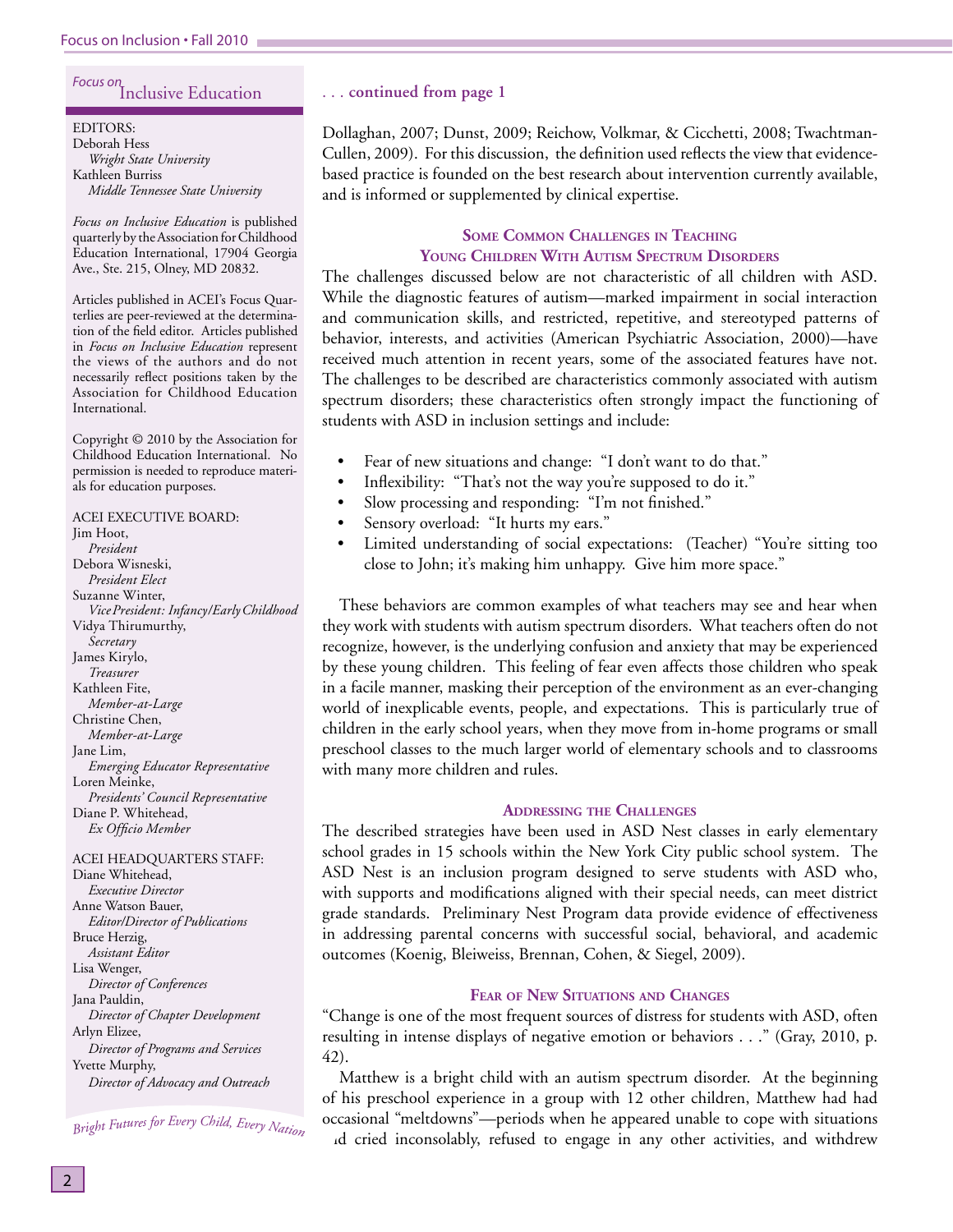# Focus on Inclusive Education

EDITORS: Deborah Hess *Wright State University* Kathleen Burriss *Middle Tennessee State University*

*Focus on Inclusive Education* is published quarterly by the Association for Childhood Education International, 17904 Georgia Ave., Ste. 215, Olney, MD 20832.

Articles published in ACEI's Focus Quarterlies are peer-reviewed at the determination of the field editor. Articles published in *Focus on Inclusive Education* represent the views of the authors and do not necessarily reflect positions taken by the Association for Childhood Education International.

Copyright © 2010 by the Association for Childhood Education International. No permission is needed to reproduce materials for education purposes.

ACEI EXECUTIVE BOARD: Jim Hoot, *President* Debora Wisneski, *President Elect* Suzanne Winter, *Vice President: Infancy/Early Childhood* Vidya Thirumurthy, *Secretary* James Kirylo, *Treasurer* Kathleen Fite, *Member-at-Large* Christine Chen, *Member-at-Large* Jane Lim, *Emerging Educator Representative* Loren Meinke, *Presidents' Council Representative* Diane P. Whitehead, *Ex Officio Member* 

ACEI HEADQUARTERS STAFF: Diane Whitehead, *Executive Director* Anne Watson Bauer, *Editor/Director of Publications* Bruce Herzig, *Assistant Editor* Lisa Wenger, *Director of Conferences* Jana Pauldin, *Director of Chapter Development* Arlyn Elizee, *Director of Programs and Services* Yvette Murphy, *Director of Advocacy and Outreach*

Bright Futures for Every Child, Every Nation

#### . . . **continued from page 1**

Dollaghan, 2007; Dunst, 2009; Reichow, Volkmar, & Cicchetti, 2008; Twachtman-Cullen, 2009). For this discussion, the definition used reflects the view that evidencebased practice is founded on the best research about intervention currently available, and is informed or supplemented by clinical expertise.

# **SOME COMMON CHALLENGES IN TEACHING YOUNG CHILDREN WITH AUTISM SPECTRUM DISORDERS**

The challenges discussed below are not characteristic of all children with ASD. While the diagnostic features of autism—marked impairment in social interaction and communication skills, and restricted, repetitive, and stereotyped patterns of behavior, interests, and activities (American Psychiatric Association, 2000)—have received much attention in recent years, some of the associated features have not. The challenges to be described are characteristics commonly associated with autism spectrum disorders; these characteristics often strongly impact the functioning of students with ASD in inclusion settings and include:

- Fear of new situations and change: "I don't want to do that."
- Inflexibility: "That's not the way you're supposed to do it."
- Slow processing and responding: "I'm not finished."
- Sensory overload: "It hurts my ears."
- Limited understanding of social expectations: (Teacher) "You're sitting too close to John; it's making him unhappy. Give him more space."

These behaviors are common examples of what teachers may see and hear when they work with students with autism spectrum disorders. What teachers often do not recognize, however, is the underlying confusion and anxiety that may be experienced by these young children. This feeling of fear even affects those children who speak in a facile manner, masking their perception of the environment as an ever-changing world of inexplicable events, people, and expectations. This is particularly true of children in the early school years, when they move from in-home programs or small preschool classes to the much larger world of elementary schools and to classrooms with many more children and rules.

#### **ADDRESSING THE CHALLENGES**

The described strategies have been used in ASD Nest classes in early elementary school grades in 15 schools within the New York City public school system. The ASD Nest is an inclusion program designed to serve students with ASD who, with supports and modifications aligned with their special needs, can meet district grade standards. Preliminary Nest Program data provide evidence of effectiveness in addressing parental concerns with successful social, behavioral, and academic outcomes (Koenig, Bleiweiss, Brennan, Cohen, & Siegel, 2009).

# **FEAR OF NEW SITUATIONS AND CHANGES**

"Change is one of the most frequent sources of distress for students with ASD, often resulting in intense displays of negative emotion or behaviors . . ." (Gray, 2010, p. 42).

Matthew is a bright child with an autism spectrum disorder. At the beginning of his preschool experience in a group with 12 other children, Matthew had had occasional "meltdowns"—periods when he appeared unable to cope with situations and cried inconsolably, refused to engage in any other activities, and withdrew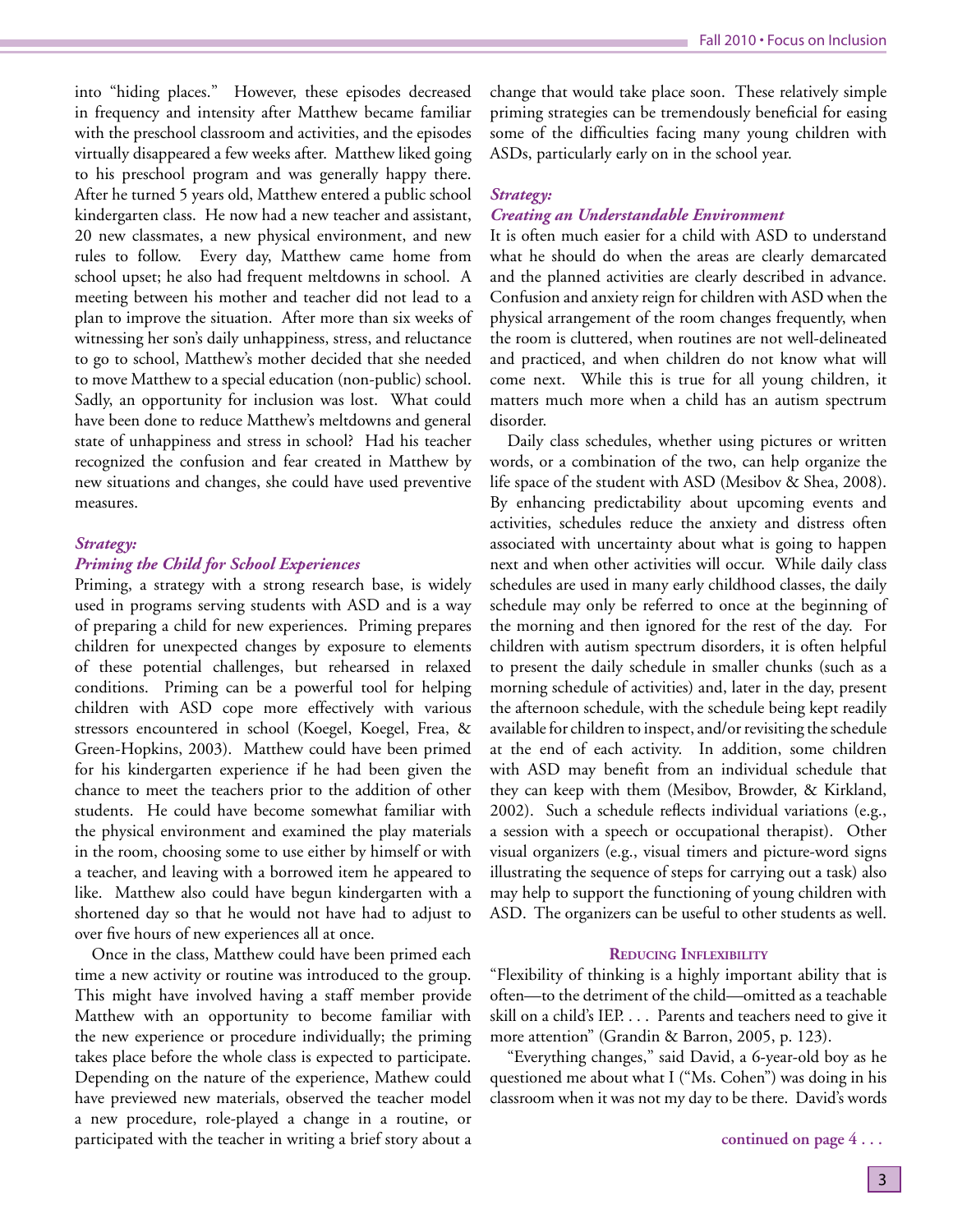into "hiding places." However, these episodes decreased in frequency and intensity after Matthew became familiar with the preschool classroom and activities, and the episodes virtually disappeared a few weeks after. Matthew liked going to his preschool program and was generally happy there. After he turned 5 years old, Matthew entered a public school kindergarten class. He now had a new teacher and assistant, 20 new classmates, a new physical environment, and new rules to follow. Every day, Matthew came home from school upset; he also had frequent meltdowns in school. A meeting between his mother and teacher did not lead to a plan to improve the situation. After more than six weeks of witnessing her son's daily unhappiness, stress, and reluctance to go to school, Matthew's mother decided that she needed to move Matthew to a special education (non-public) school. Sadly, an opportunity for inclusion was lost. What could have been done to reduce Matthew's meltdowns and general state of unhappiness and stress in school? Had his teacher recognized the confusion and fear created in Matthew by new situations and changes, she could have used preventive measures.

#### *Strategy:*

# *Priming the Child for School Experiences*

Priming, a strategy with a strong research base, is widely used in programs serving students with ASD and is a way of preparing a child for new experiences. Priming prepares children for unexpected changes by exposure to elements of these potential challenges, but rehearsed in relaxed conditions. Priming can be a powerful tool for helping children with ASD cope more effectively with various stressors encountered in school (Koegel, Koegel, Frea, & Green-Hopkins, 2003). Matthew could have been primed for his kindergarten experience if he had been given the chance to meet the teachers prior to the addition of other students. He could have become somewhat familiar with the physical environment and examined the play materials in the room, choosing some to use either by himself or with a teacher, and leaving with a borrowed item he appeared to like. Matthew also could have begun kindergarten with a shortened day so that he would not have had to adjust to over five hours of new experiences all at once.

 Once in the class, Matthew could have been primed each time a new activity or routine was introduced to the group. This might have involved having a staff member provide Matthew with an opportunity to become familiar with the new experience or procedure individually; the priming takes place before the whole class is expected to participate. Depending on the nature of the experience, Mathew could have previewed new materials, observed the teacher model a new procedure, role-played a change in a routine, or participated with the teacher in writing a brief story about a change that would take place soon. These relatively simple priming strategies can be tremendously beneficial for easing some of the difficulties facing many young children with ASDs, particularly early on in the school year.

#### *Strategy:*

## *Creating an Understandable Environment*

It is often much easier for a child with ASD to understand what he should do when the areas are clearly demarcated and the planned activities are clearly described in advance. Confusion and anxiety reign for children with ASD when the physical arrangement of the room changes frequently, when the room is cluttered, when routines are not well-delineated and practiced, and when children do not know what will come next. While this is true for all young children, it matters much more when a child has an autism spectrum disorder.

Daily class schedules, whether using pictures or written words, or a combination of the two, can help organize the life space of the student with ASD (Mesibov & Shea, 2008). By enhancing predictability about upcoming events and activities, schedules reduce the anxiety and distress often associated with uncertainty about what is going to happen next and when other activities will occur. While daily class schedules are used in many early childhood classes, the daily schedule may only be referred to once at the beginning of the morning and then ignored for the rest of the day. For children with autism spectrum disorders, it is often helpful to present the daily schedule in smaller chunks (such as a morning schedule of activities) and, later in the day, present the afternoon schedule, with the schedule being kept readily available for children to inspect, and/or revisiting the schedule at the end of each activity. In addition, some children with ASD may benefit from an individual schedule that they can keep with them (Mesibov, Browder, & Kirkland, 2002). Such a schedule reflects individual variations (e.g., a session with a speech or occupational therapist). Other visual organizers (e.g., visual timers and picture-word signs illustrating the sequence of steps for carrying out a task) also may help to support the functioning of young children with ASD. The organizers can be useful to other students as well.

#### **REDUCING INFLEXIBILITY**

"Flexibility of thinking is a highly important ability that is often—to the detriment of the child—omitted as a teachable skill on a child's IEP. . . . Parents and teachers need to give it more attention" (Grandin & Barron, 2005, p. 123).

"Everything changes," said David, a 6-year-old boy as he questioned me about what I ("Ms. Cohen") was doing in his classroom when it was not my day to be there. David's words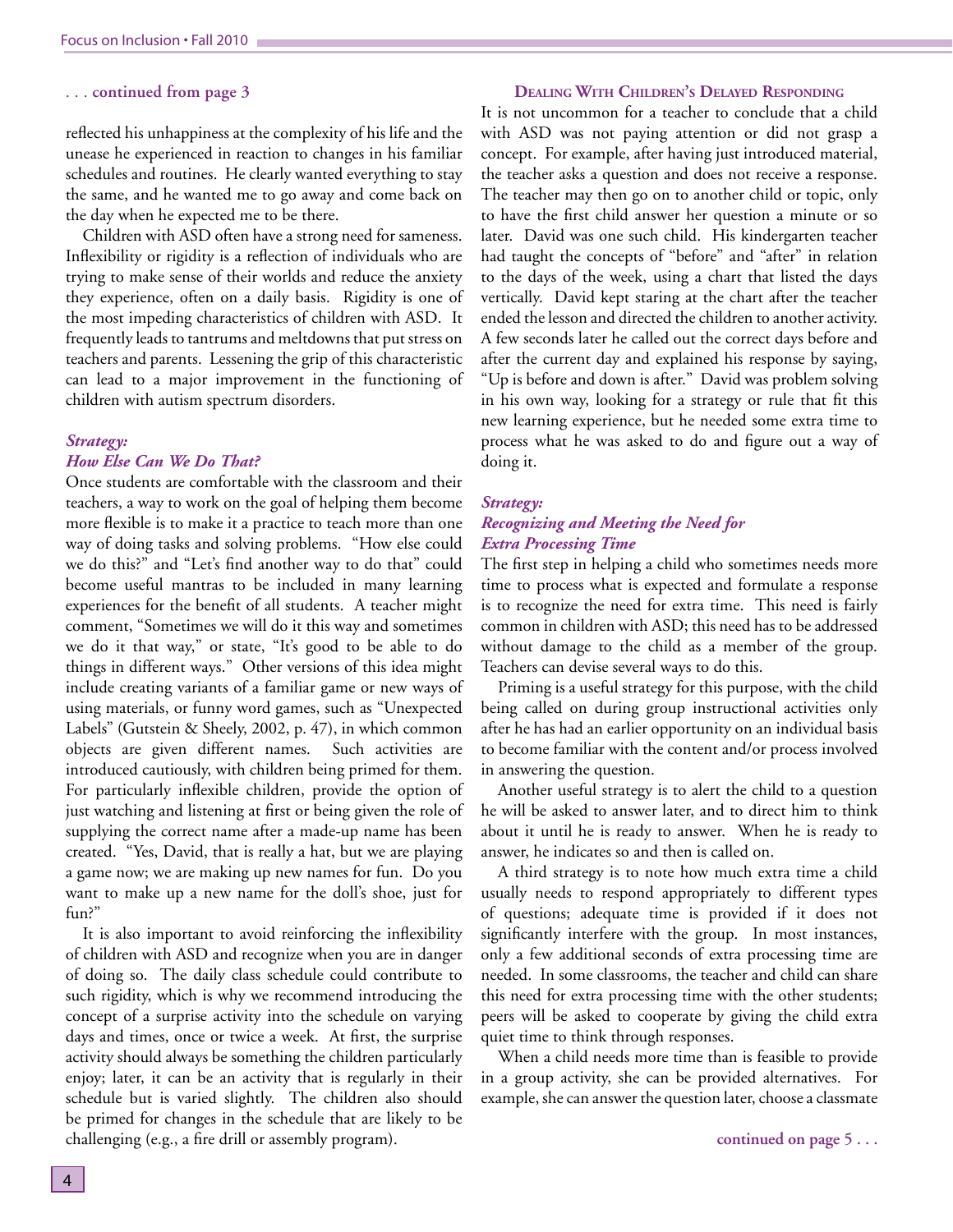#### . . . **continued from page 3**

reflected his unhappiness at the complexity of his life and the unease he experienced in reaction to changes in his familiar schedules and routines. He clearly wanted everything to stay the same, and he wanted me to go away and come back on the day when he expected me to be there.

Children with ASD often have a strong need for sameness. Inflexibility or rigidity is a reflection of individuals who are trying to make sense of their worlds and reduce the anxiety they experience, often on a daily basis. Rigidity is one of the most impeding characteristics of children with ASD. It frequently leads to tantrums and meltdowns that put stress on teachers and parents. Lessening the grip of this characteristic can lead to a major improvement in the functioning of children with autism spectrum disorders.

#### *Strategy:*

#### *How Else Can We Do That?*

Once students are comfortable with the classroom and their teachers, a way to work on the goal of helping them become more flexible is to make it a practice to teach more than one way of doing tasks and solving problems. "How else could we do this?" and "Let's find another way to do that" could become useful mantras to be included in many learning experiences for the benefit of all students. A teacher might comment, "Sometimes we will do it this way and sometimes we do it that way," or state, "It's good to be able to do things in different ways." Other versions of this idea might include creating variants of a familiar game or new ways of using materials, or funny word games, such as "Unexpected Labels" (Gutstein & Sheely, 2002, p. 47), in which common objects are given different names. Such activities are introduced cautiously, with children being primed for them. For particularly inflexible children, provide the option of just watching and listening at first or being given the role of supplying the correct name after a made-up name has been created. "Yes, David, that is really a hat, but we are playing a game now; we are making up new names for fun. Do you want to make up a new name for the doll's shoe, just for fun?"

It is also important to avoid reinforcing the inflexibility of children with ASD and recognize when you are in danger of doing so. The daily class schedule could contribute to such rigidity, which is why we recommend introducing the concept of a surprise activity into the schedule on varying days and times, once or twice a week. At first, the surprise activity should always be something the children particularly enjoy; later, it can be an activity that is regularly in their schedule but is varied slightly. The children also should be primed for changes in the schedule that are likely to be challenging (e.g., a fire drill or assembly program).

#### **DEALING WITH CHILDREN'S DELAYED RESPONDING**

It is not uncommon for a teacher to conclude that a child with ASD was not paying attention or did not grasp a concept. For example, after having just introduced material, the teacher asks a question and does not receive a response. The teacher may then go on to another child or topic, only to have the first child answer her question a minute or so later. David was one such child. His kindergarten teacher had taught the concepts of "before" and "after" in relation to the days of the week, using a chart that listed the days vertically. David kept staring at the chart after the teacher ended the lesson and directed the children to another activity. A few seconds later he called out the correct days before and after the current day and explained his response by saying, "Up is before and down is after." David was problem solving in his own way, looking for a strategy or rule that fit this new learning experience, but he needed some extra time to process what he was asked to do and figure out a way of doing it.

#### *Strategy:*

# *Recognizing and Meeting the Need for Extra Processing Time*

The first step in helping a child who sometimes needs more time to process what is expected and formulate a response is to recognize the need for extra time. This need is fairly common in children with ASD; this need has to be addressed without damage to the child as a member of the group. Teachers can devise several ways to do this.

Priming is a useful strategy for this purpose, with the child being called on during group instructional activities only after he has had an earlier opportunity on an individual basis to become familiar with the content and/or process involved in answering the question.

Another useful strategy is to alert the child to a question he will be asked to answer later, and to direct him to think about it until he is ready to answer. When he is ready to answer, he indicates so and then is called on.

A third strategy is to note how much extra time a child usually needs to respond appropriately to different types of questions; adequate time is provided if it does not significantly interfere with the group. In most instances, only a few additional seconds of extra processing time are needed. In some classrooms, the teacher and child can share this need for extra processing time with the other students; peers will be asked to cooperate by giving the child extra quiet time to think through responses.

When a child needs more time than is feasible to provide in a group activity, she can be provided alternatives. For example, she can answer the question later, choose a classmate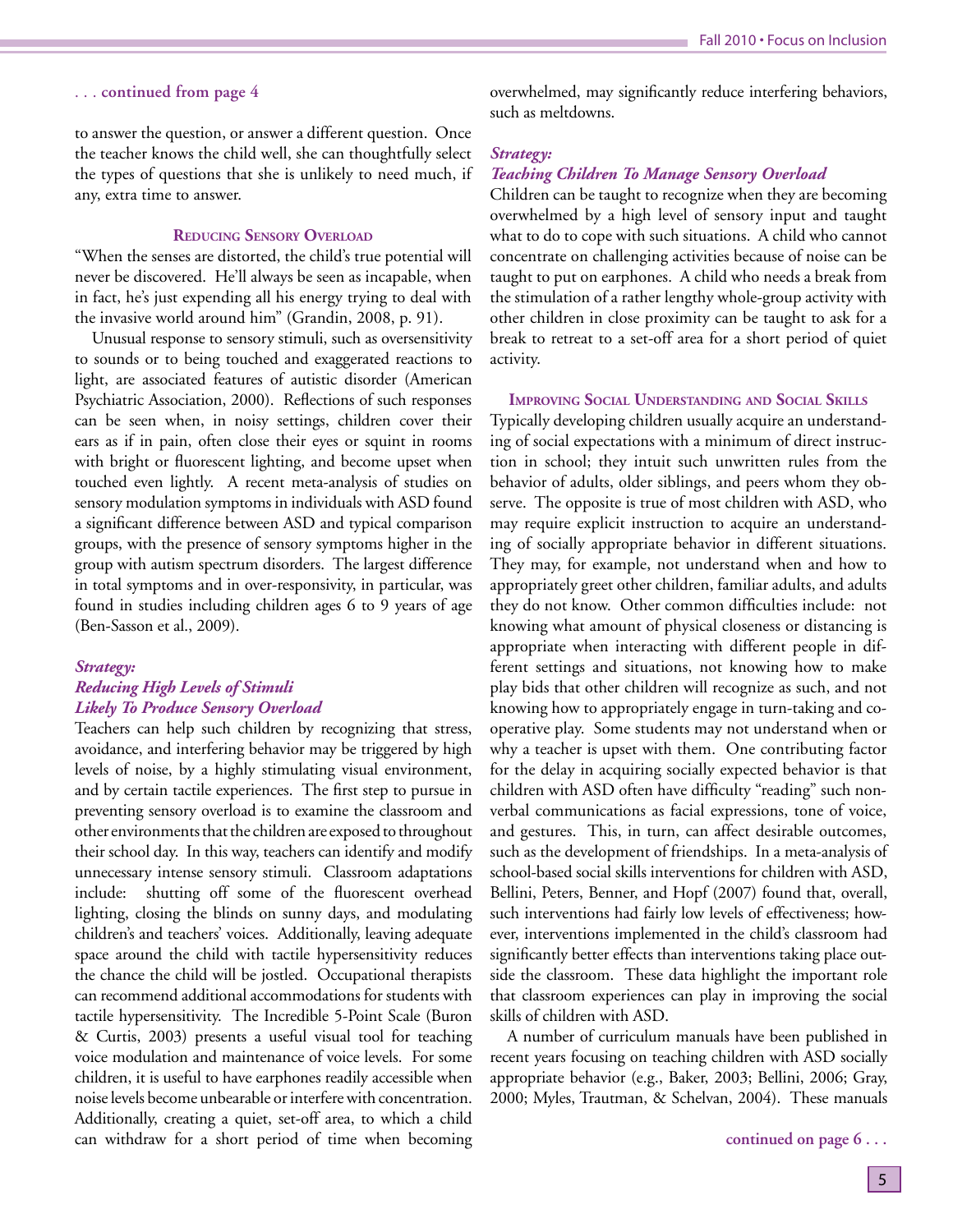#### . . . **continued from page 4**

to answer the question, or answer a different question. Once the teacher knows the child well, she can thoughtfully select the types of questions that she is unlikely to need much, if any, extra time to answer.

# **REDUCING SENSORY OVERLOAD**

"When the senses are distorted, the child's true potential will never be discovered. He'll always be seen as incapable, when in fact, he's just expending all his energy trying to deal with the invasive world around him" (Grandin, 2008, p. 91).

Unusual response to sensory stimuli, such as oversensitivity to sounds or to being touched and exaggerated reactions to light, are associated features of autistic disorder (American Psychiatric Association, 2000). Reflections of such responses can be seen when, in noisy settings, children cover their ears as if in pain, often close their eyes or squint in rooms with bright or fluorescent lighting, and become upset when touched even lightly. A recent meta-analysis of studies on sensory modulation symptoms in individuals with ASD found a significant difference between ASD and typical comparison groups, with the presence of sensory symptoms higher in the group with autism spectrum disorders. The largest difference in total symptoms and in over-responsivity, in particular, was found in studies including children ages 6 to 9 years of age (Ben-Sasson et al., 2009).

#### *Strategy:*

# *Reducing High Levels of Stimuli Likely To Produce Sensory Overload*

Teachers can help such children by recognizing that stress, avoidance, and interfering behavior may be triggered by high levels of noise, by a highly stimulating visual environment, and by certain tactile experiences. The first step to pursue in preventing sensory overload is to examine the classroom and other environments that the children are exposed to throughout their school day. In this way, teachers can identify and modify unnecessary intense sensory stimuli. Classroom adaptations include: shutting off some of the fluorescent overhead lighting, closing the blinds on sunny days, and modulating children's and teachers' voices. Additionally, leaving adequate space around the child with tactile hypersensitivity reduces the chance the child will be jostled. Occupational therapists can recommend additional accommodations for students with tactile hypersensitivity. The Incredible 5-Point Scale (Buron & Curtis, 2003) presents a useful visual tool for teaching voice modulation and maintenance of voice levels. For some children, it is useful to have earphones readily accessible when noise levels become unbearable or interfere with concentration. Additionally, creating a quiet, set-off area, to which a child can withdraw for a short period of time when becoming overwhelmed, may significantly reduce interfering behaviors, such as meltdowns.

#### *Strategy:*

#### *Teaching Children To Manage Sensory Overload*

Children can be taught to recognize when they are becoming overwhelmed by a high level of sensory input and taught what to do to cope with such situations. A child who cannot concentrate on challenging activities because of noise can be taught to put on earphones. A child who needs a break from the stimulation of a rather lengthy whole-group activity with other children in close proximity can be taught to ask for a break to retreat to a set-off area for a short period of quiet activity.

**IMPROVING SOCIAL UNDERSTANDING AND SOCIAL SKILLS** 

Typically developing children usually acquire an understanding of social expectations with a minimum of direct instruction in school; they intuit such unwritten rules from the behavior of adults, older siblings, and peers whom they observe. The opposite is true of most children with ASD, who may require explicit instruction to acquire an understanding of socially appropriate behavior in different situations. They may, for example, not understand when and how to appropriately greet other children, familiar adults, and adults they do not know. Other common difficulties include: not knowing what amount of physical closeness or distancing is appropriate when interacting with different people in different settings and situations, not knowing how to make play bids that other children will recognize as such, and not knowing how to appropriately engage in turn-taking and cooperative play. Some students may not understand when or why a teacher is upset with them. One contributing factor for the delay in acquiring socially expected behavior is that children with ASD often have difficulty "reading" such nonverbal communications as facial expressions, tone of voice, and gestures. This, in turn, can affect desirable outcomes, such as the development of friendships. In a meta-analysis of school-based social skills interventions for children with ASD, Bellini, Peters, Benner, and Hopf (2007) found that, overall, such interventions had fairly low levels of effectiveness; however, interventions implemented in the child's classroom had significantly better effects than interventions taking place outside the classroom. These data highlight the important role that classroom experiences can play in improving the social skills of children with ASD.

A number of curriculum manuals have been published in recent years focusing on teaching children with ASD socially appropriate behavior (e.g., Baker, 2003; Bellini, 2006; Gray, 2000; Myles, Trautman, & Schelvan, 2004). These manuals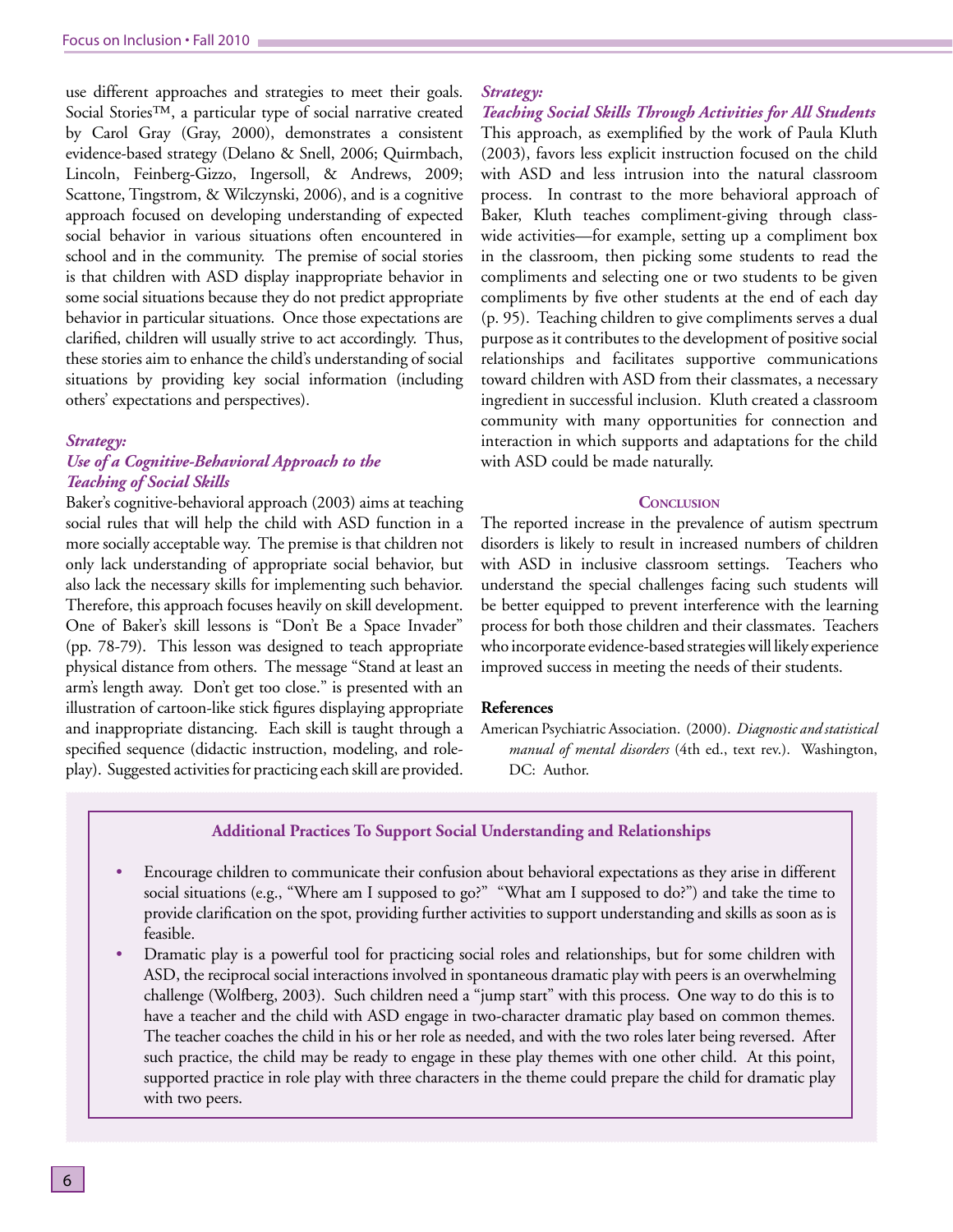use different approaches and strategies to meet their goals. Social Stories™, a particular type of social narrative created by Carol Gray (Gray, 2000), demonstrates a consistent evidence-based strategy (Delano & Snell, 2006; Quirmbach, Lincoln, Feinberg-Gizzo, Ingersoll, & Andrews, 2009; Scattone, Tingstrom, & Wilczynski, 2006), and is a cognitive approach focused on developing understanding of expected social behavior in various situations often encountered in school and in the community. The premise of social stories is that children with ASD display inappropriate behavior in some social situations because they do not predict appropriate behavior in particular situations. Once those expectations are clarified, children will usually strive to act accordingly. Thus, these stories aim to enhance the child's understanding of social situations by providing key social information (including others' expectations and perspectives).

#### *Strategy:*

# *Use of a Cognitive-Behavioral Approach to the Teaching of Social Skills*

Baker's cognitive-behavioral approach (2003) aims at teaching social rules that will help the child with ASD function in a more socially acceptable way. The premise is that children not only lack understanding of appropriate social behavior, but also lack the necessary skills for implementing such behavior. Therefore, this approach focuses heavily on skill development. One of Baker's skill lessons is "Don't Be a Space Invader" (pp. 78-79). This lesson was designed to teach appropriate physical distance from others. The message "Stand at least an arm's length away. Don't get too close." is presented with an illustration of cartoon-like stick figures displaying appropriate and inappropriate distancing. Each skill is taught through a specified sequence (didactic instruction, modeling, and roleplay). Suggested activities for practicing each skill are provided.

#### *Strategy:*

*Teaching Social Skills Through Activities for All Students* This approach, as exemplified by the work of Paula Kluth (2003), favors less explicit instruction focused on the child with ASD and less intrusion into the natural classroom process. In contrast to the more behavioral approach of Baker, Kluth teaches compliment-giving through classwide activities—for example, setting up a compliment box in the classroom, then picking some students to read the compliments and selecting one or two students to be given compliments by five other students at the end of each day (p. 95). Teaching children to give compliments serves a dual purpose as it contributes to the development of positive social relationships and facilitates supportive communications toward children with ASD from their classmates, a necessary ingredient in successful inclusion. Kluth created a classroom community with many opportunities for connection and interaction in which supports and adaptations for the child with ASD could be made naturally.

#### **CONCLUSION**

The reported increase in the prevalence of autism spectrum disorders is likely to result in increased numbers of children with ASD in inclusive classroom settings. Teachers who understand the special challenges facing such students will be better equipped to prevent interference with the learning process for both those children and their classmates. Teachers who incorporate evidence-based strategies will likely experience improved success in meeting the needs of their students.

## **References**

American Psychiatric Association. (2000). *Diagnostic and statistical manual of mental disorders* (4th ed., text rev.). Washington, DC: Author.

### **Additional Practices To Support Social Understanding and Relationships**

- Encourage children to communicate their confusion about behavioral expectations as they arise in different social situations (e.g., "Where am I supposed to go?" "What am I supposed to do?") and take the time to provide clarification on the spot, providing further activities to support understanding and skills as soon as is feasible.
- Dramatic play is a powerful tool for practicing social roles and relationships, but for some children with ASD, the reciprocal social interactions involved in spontaneous dramatic play with peers is an overwhelming challenge (Wolfberg, 2003). Such children need a "jump start" with this process. One way to do this is to have a teacher and the child with ASD engage in two-character dramatic play based on common themes. The teacher coaches the child in his or her role as needed, and with the two roles later being reversed. After such practice, the child may be ready to engage in these play themes with one other child. At this point, supported practice in role play with three characters in the theme could prepare the child for dramatic play with two peers.